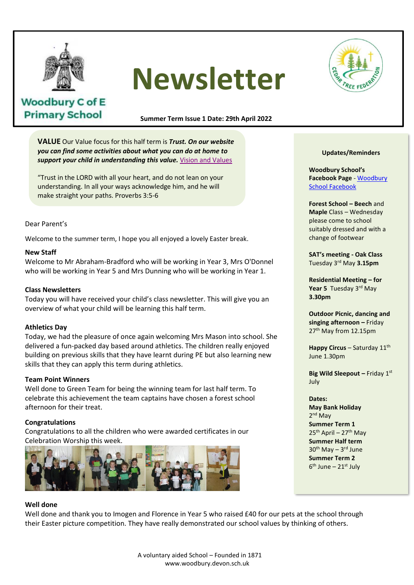

**Woodbury C of E Primary School** 

# **Newsletter**



## **Summer Term Issue 1 Date: 29th April 2022**

**VALUE** Our Value focus for this half term is *Trust. On our website you can find some activities about what you can do at home to*  support your child in understanding this value. **[Vision and Values](https://www.woodbury.devon.sch.uk/web/visions_and_values/539744)** 

"Trust in the LORD with all your heart, and do not lean on your understanding. In all your ways acknowledge him, and he will make straight your paths. Proverbs 3:5-6

## Dear Parent's

Welcome to the summer term, I hope you all enjoyed a lovely Easter break.

#### **New Staff**

Welcome to Mr Abraham-Bradford who will be working in Year 3, Mrs O'Donnel who will be working in Year 5 and Mrs Dunning who will be working in Year 1. Love is patient, love is kind. It always

#### **Class Newsletters**

Today you will have received your child's class newsletter. This will give you an overview of what your child will be learning this half term.

## **Athletics Day** always perseveres. Love never fails.

Today, we had the pleasure of once again welcoming Mrs Mason into school. She Today, we had the pleasure of once again welcoming ivits wason into school. Si<br>delivered a fun-packed day based around athletics. The children really enjoyed building on previous skills that they have learnt during PE but also learning new skills that they can apply this term during athletics.

#### **Team Point Winners**

Well done to Green Team for being the winning team for last half term. To celebrate this achievement the team captains have chosen a forest school afternoon for their treat.

#### **Congratulations**

Congratulations to all the children who were awarded certificates in our Celebration Worship this week.



#### **Well done**

Well done and thank you to Imogen and Florence in Year 5 who raised £40 for our pets at the school through their Easter picture competition. They have really demonstrated our school values by thinking of others.

#### **Updates/Reminders**

**Woodbury School's Facebook Page** - [Woodbury](https://www.facebook.com/people/Woodbury-C-of-E-Primary-School/100063490359733/)  [School Facebook](https://www.facebook.com/people/Woodbury-C-of-E-Primary-School/100063490359733/)

**Forest School – Beech** and **Maple** Class – Wednesday please come to school suitably dressed and with a change of footwear

**SAT's meeting - Oak Class** Tuesday 3rd May **3.15pm**

**Residential Meeting – for**  Year 5 Tuesday 3<sup>rd</sup> May **3.30pm**

**Outdoor Picnic, dancing and singing afternoon –** Friday 27<sup>th</sup> May from 12.15pm

**Happy Circus – Saturday 11th** June 1.30pm

**Big Wild Sleepout - Friday 1st** July

#### **Dates:**

**May Bank Holiday** 2<sup>nd</sup> May **Summer Term 1**  $25<sup>th</sup>$  April – 27<sup>th</sup> May **Summer Half term** 30<sup>th</sup> May – 3<sup>rd</sup> June **Summer Term 2** 6<sup>th</sup> June – 21st July